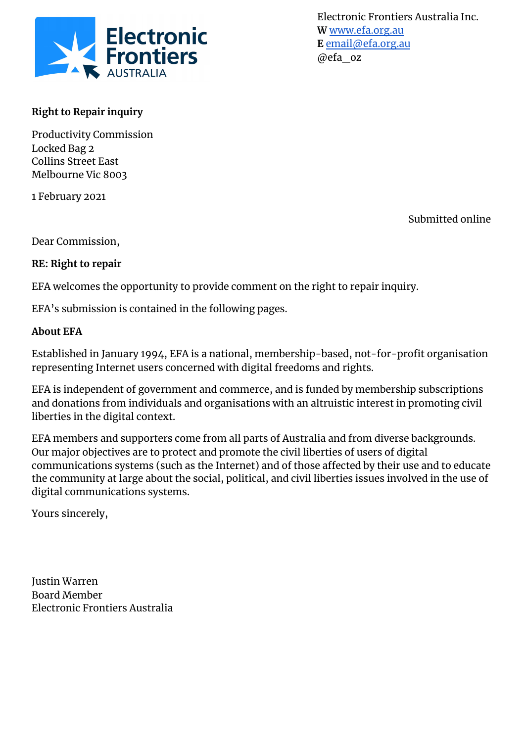

Electronic Frontiers Australia Inc. **W** [www.efa.org.au](http://www.efa.org.au/) **E** [email@efa.org.au](mailto:email@efa.org.au) @efa\_oz

### **Right to Repair inquiry**

Productivity Commission Locked Bag 2 Collins Street East Melbourne Vic 8003

1 February 2021

Submitted online

#### Dear Commission,

#### **RE: Right to repair**

EFA welcomes the opportunity to provide comment on the right to repair inquiry.

EFA's submission is contained in the following pages.

#### **About EFA**

Established in January 1994, EFA is a national, membership-based, not-for-profit organisation representing Internet users concerned with digital freedoms and rights.

EFA is independent of government and commerce, and is funded by membership subscriptions and donations from individuals and organisations with an altruistic interest in promoting civil liberties in the digital context.

EFA members and supporters come from all parts of Australia and from diverse backgrounds. Our major objectives are to protect and promote the civil liberties of users of digital communications systems (such as the Internet) and of those affected by their use and to educate the community at large about the social, political, and civil liberties issues involved in the use of digital communications systems.

Yours sincerely,

Justin Warren Board Member Electronic Frontiers Australia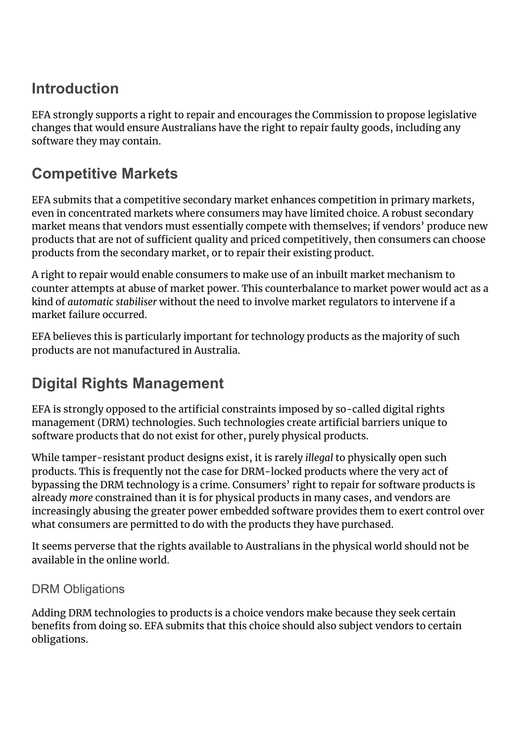## **Introduction**

EFA strongly supports a right to repair and encourages the Commission to propose legislative changes that would ensure Australians have the right to repair faulty goods, including any software they may contain.

## **Competitive Markets**

EFA submits that a competitive secondary market enhances competition in primary markets, even in concentrated markets where consumers may have limited choice. A robust secondary market means that vendors must essentially compete with themselves; if vendors' produce new products that are not of sufficient quality and priced competitively, then consumers can choose products from the secondary market, or to repair their existing product.

A right to repair would enable consumers to make use of an inbuilt market mechanism to counter attempts at abuse of market power. This counterbalance to market power would act as a kind of *automatic stabiliser* without the need to involve market regulators to intervene if a market failure occurred.

EFA believes this is particularly important for technology products as the majority of such products are not manufactured in Australia.

# **Digital Rights Management**

EFA is strongly opposed to the artificial constraints imposed by so-called digital rights management (DRM) technologies. Such technologies create artificial barriers unique to software products that do not exist for other, purely physical products.

While tamper-resistant product designs exist, it is rarely *illegal* to physically open such products. This is frequently not the case for DRM-locked products where the very act of bypassing the DRM technology is a crime. Consumers' right to repair for software products is already *more* constrained than it is for physical products in many cases, and vendors are increasingly abusing the greater power embedded software provides them to exert control over what consumers are permitted to do with the products they have purchased.

It seems perverse that the rights available to Australians in the physical world should not be available in the online world.

### DRM Obligations

Adding DRM technologies to products is a choice vendors make because they seek certain benefits from doing so. EFA submits that this choice should also subject vendors to certain obligations.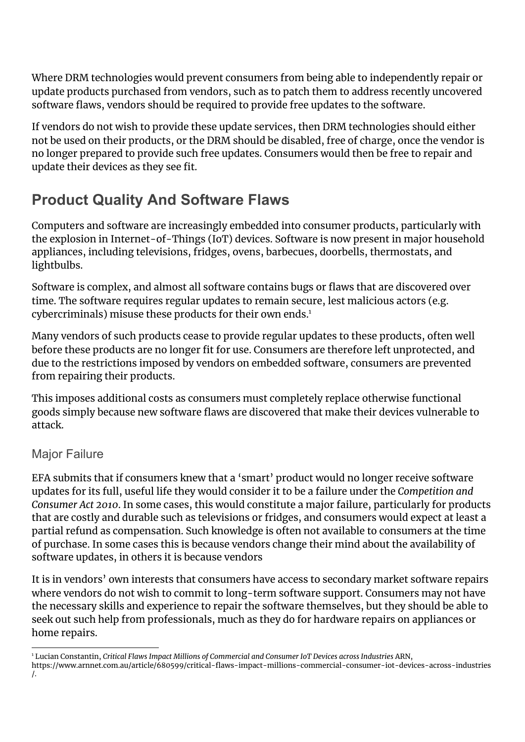Where DRM technologies would prevent consumers from being able to independently repair or update products purchased from vendors, such as to patch them to address recently uncovered software flaws, vendors should be required to provide free updates to the software.

If vendors do not wish to provide these update services, then DRM technologies should either not be used on their products, or the DRM should be disabled, free of charge, once the vendor is no longer prepared to provide such free updates. Consumers would then be free to repair and update their devices as they see fit.

## **Product Quality And Software Flaws**

Computers and software are increasingly embedded into consumer products, particularly with the explosion in Internet-of-Things (IoT) devices. Software is now present in major household appliances, including televisions, fridges, ovens, barbecues, doorbells, thermostats, and lightbulbs.

Software is complex, and almost all software contains bugs or flaws that are discovered over time. The software requires regular updates to remain secure, lest malicious actors (e.g. cybercriminals) misuse these products for their own ends. 1

Many vendors of such products cease to provide regular updates to these products, often well before these products are no longer fit for use. Consumers are therefore left unprotected, and due to the restrictions imposed by vendors on embedded software, consumers are prevented from repairing their products.

This imposes additional costs as consumers must completely replace otherwise functional goods simply because new software flaws are discovered that make their devices vulnerable to attack.

### Major Failure

EFA submits that if consumers knew that a 'smart' product would no longer receive software updates for its full, useful life they would consider it to be a failure under the *Competition and Consumer Act 2010*. In some cases, this would constitute a major failure, particularly for products that are costly and durable such as televisions or fridges, and consumers would expect at least a partial refund as compensation. Such knowledge is often not available to consumers at the time of purchase. In some cases this is because vendors change their mind about the availability of software updates, in others it is because vendors

It is in vendors' own interests that consumers have access to secondary market software repairs where vendors do not wish to commit to long-term software support. Consumers may not have the necessary skills and experience to repair the software themselves, but they should be able to seek out such help from professionals, much as they do for hardware repairs on appliances or home repairs.

<sup>1</sup> Lucian [Constantin,](https://www.zotero.org/google-docs/?yoTz66) *Critical Flaws Impact Millions of [Commercial](https://www.zotero.org/google-docs/?yoTz66) and Consumer IoT Devices across Industries* [ARN,](https://www.zotero.org/google-docs/?yoTz66)

[https://www.arnnet.com.au/article/680599/critical-flaws-impact-millions-commercial-consumer-iot-devices-across-industries](https://www.zotero.org/google-docs/?yoTz66) [/.](https://www.zotero.org/google-docs/?yoTz66)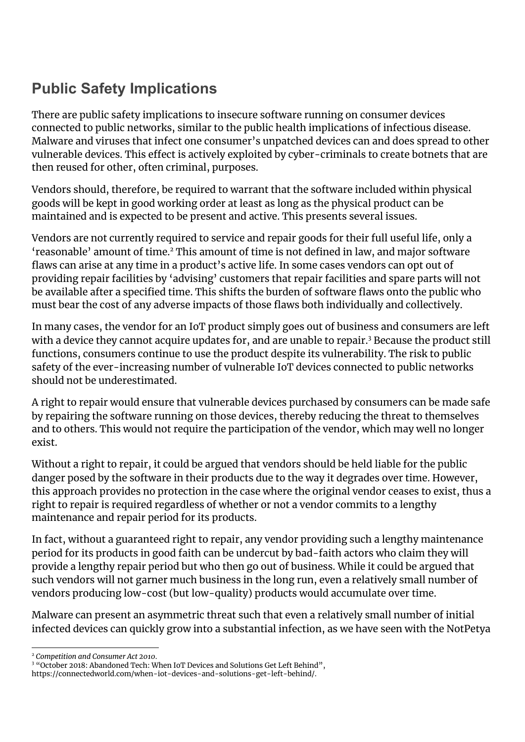# **Public Safety Implications**

There are public safety implications to insecure software running on consumer devices connected to public networks, similar to the public health implications of infectious disease. Malware and viruses that infect one consumer's unpatched devices can and does spread to other vulnerable devices. This effect is actively exploited by cyber-criminals to create botnets that are then reused for other, often criminal, purposes.

Vendors should, therefore, be required to warrant that the software included within physical goods will be kept in good working order at least as long as the physical product can be maintained and is expected to be present and active. This presents several issues.

Vendors are not currently required to service and repair goods for their full useful life, only a  $'$ reasonable' amount of time. $^2$  This amount of time is not defined in law, and major software flaws can arise at any time in a product's active life. In some cases vendors can opt out of providing repair facilities by 'advising' customers that repair facilities and spare parts will not be available after a specified time. This shifts the burden of software flaws onto the public who must bear the cost of any adverse impacts of those flaws both individually and collectively.

In many cases, the vendor for an IoT product simply goes out of business and consumers are left with a device they cannot acquire updates for, and are unable to repair. $^3$  Because the product still functions, consumers continue to use the product despite its vulnerability. The risk to public safety of the ever-increasing number of vulnerable IoT devices connected to public networks should not be underestimated.

A right to repair would ensure that vulnerable devices purchased by consumers can be made safe by repairing the software running on those devices, thereby reducing the threat to themselves and to others. This would not require the participation of the vendor, which may well no longer exist.

Without a right to repair, it could be argued that vendors should be held liable for the public danger posed by the software in their products due to the way it degrades over time. However, this approach provides no protection in the case where the original vendor ceases to exist, thus a right to repair is required regardless of whether or not a vendor commits to a lengthy maintenance and repair period for its products.

In fact, without a guaranteed right to repair, any vendor providing such a lengthy maintenance period for its products in good faith can be undercut by bad-faith actors who claim they will provide a lengthy repair period but who then go out of business. While it could be argued that such vendors will not garner much business in the long run, even a relatively small number of vendors producing low-cost (but low-quality) products would accumulate over time.

Malware can present an asymmetric threat such that even a relatively small number of initial infected devices can quickly grow into a substantial infection, as we have seen with the NotPetya

<sup>2</sup> *[Competition](https://www.zotero.org/google-docs/?FZdJDK) and Consumer Act 2010*[.](https://www.zotero.org/google-docs/?FZdJDK)

<sup>&</sup>lt;sup>3</sup> "October 2018: [Abandoned](https://www.zotero.org/google-docs/?J2dsRg) Tech: When IoT Devices and Solutions Get Left Behind",

[https://connectedworld.com/when-iot-devices-and-solutions-get-left-behind/.](https://www.zotero.org/google-docs/?J2dsRg)